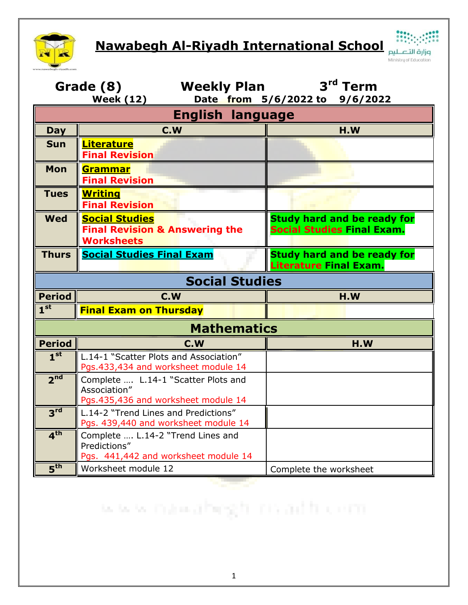

**Nawabegh Al-Riyadh International School**



| Grade (8)<br><b>Weekly Plan</b><br><b>Week (12)</b> |                                                                                            | 3 <sup>rd</sup> Term<br>Date from 5/6/2022 to 9/6/2022                  |  |  |
|-----------------------------------------------------|--------------------------------------------------------------------------------------------|-------------------------------------------------------------------------|--|--|
| <b>English language</b>                             |                                                                                            |                                                                         |  |  |
| <b>Day</b>                                          | C.W                                                                                        | H.W                                                                     |  |  |
| <b>Sun</b>                                          | <b>Literature</b><br><b>Final Revision</b>                                                 |                                                                         |  |  |
| <b>Mon</b>                                          | Grammar<br><b>Final Revision</b>                                                           |                                                                         |  |  |
| <b>Tues</b>                                         | <b>Writing</b><br><b>Final Revision</b>                                                    |                                                                         |  |  |
| <b>Wed</b>                                          | <b>Social Studies</b><br><b>Final Revision &amp; Answering the</b><br><b>Worksheets</b>    | <b>Study hard and be ready for</b><br><b>Social Studies Final Exam.</b> |  |  |
| <b>Thurs</b>                                        | <b>Social Studies Final Exam</b>                                                           | <b>Study hard and be ready for</b><br><b>Literature Final Exam.</b>     |  |  |
| <b>Social Studies</b>                               |                                                                                            |                                                                         |  |  |
| <b>Period</b>                                       | C.W                                                                                        | H.W                                                                     |  |  |
| 1 <sup>st</sup>                                     | <b>Final Exam on Thursday</b>                                                              |                                                                         |  |  |
| <b>Mathematics</b>                                  |                                                                                            |                                                                         |  |  |
| <b>Period</b>                                       | C.W                                                                                        | H.W                                                                     |  |  |
| 1 <sup>st</sup>                                     | L.14-1 "Scatter Plots and Association"<br>Pgs.433,434 and worksheet module 14              |                                                                         |  |  |
| 2 <sup>nd</sup>                                     | Complete  L.14-1 "Scatter Plots and<br>Association"<br>Pgs.435,436 and worksheet module 14 |                                                                         |  |  |
| 3 <sup>rd</sup>                                     | L.14-2 "Trend Lines and Predictions"<br>Pgs. 439,440 and worksheet module 14               |                                                                         |  |  |
| 4 <sup>th</sup>                                     | Complete  L.14-2 "Trend Lines and<br>Predictions"<br>Pgs. 441,442 and worksheet module 14  |                                                                         |  |  |
| 5 <sup>th</sup>                                     | Worksheet module 12                                                                        | Complete the worksheet                                                  |  |  |
|                                                     |                                                                                            |                                                                         |  |  |

www.mawahegh.co.adh.com